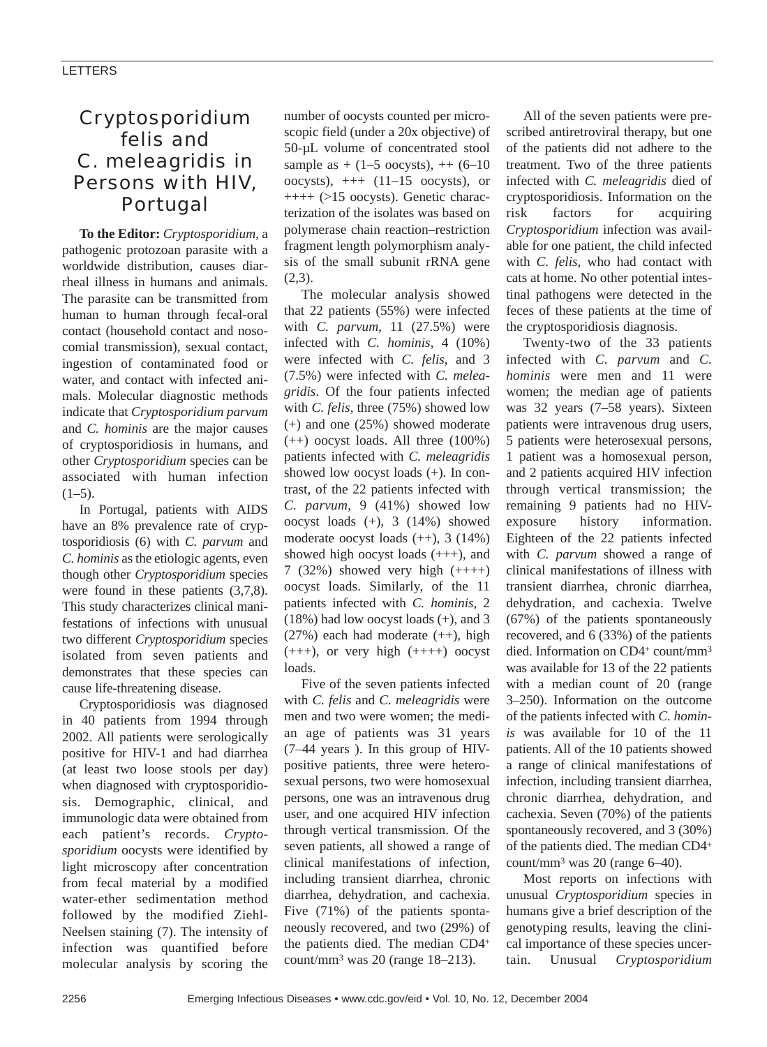## *Cryptosporidium felis* and *C. meleagridis* in Persons with HIV, Portugal

**To the Editor:** *Cryptosporidium*, a pathogenic protozoan parasite with a worldwide distribution, causes diarrheal illness in humans and animals. The parasite can be transmitted from human to human through fecal-oral contact (household contact and nosocomial transmission), sexual contact, ingestion of contaminated food or water, and contact with infected animals. Molecular diagnostic methods indicate that *Cryptosporidium parvum* and *C. hominis* are the major causes of cryptosporidiosis in humans, and other *Cryptosporidium* species can be associated with human infection  $(1-5)$ .

In Portugal, patients with AIDS have an 8% prevalence rate of cryptosporidiosis (6) with *C. parvum* and *C. hominis* as the etiologic agents, even though other *Cryptosporidium* species were found in these patients (3,7,8). This study characterizes clinical manifestations of infections with unusual two different *Cryptosporidium* species isolated from seven patients and demonstrates that these species can cause life-threatening disease.

Cryptosporidiosis was diagnosed in 40 patients from 1994 through 2002. All patients were serologically positive for HIV-1 and had diarrhea (at least two loose stools per day) when diagnosed with cryptosporidiosis. Demographic, clinical, and immunologic data were obtained from each patient's records. *Cryptosporidium* oocysts were identified by light microscopy after concentration from fecal material by a modified water-ether sedimentation method followed by the modified Ziehl-Neelsen staining (7). The intensity of infection was quantified before molecular analysis by scoring the number of oocysts counted per microscopic field (under a 20x objective) of 50-µL volume of concentrated stool sample as  $+ (1 - 5 \text{ oocysts})$ ,  $+ + (6 - 10$ oocysts),  $++(11-15$  oocysts), or  $+++$  (>15 oocysts). Genetic characterization of the isolates was based on polymerase chain reaction–restriction fragment length polymorphism analysis of the small subunit rRNA gene  $(2,3)$ .

The molecular analysis showed that 22 patients (55%) were infected with *C. parvum*, 11 (27.5%) were infected with *C. hominis*, 4 (10%) were infected with *C. felis*, and 3 (7.5%) were infected with *C. meleagridis*. Of the four patients infected with *C. felis*, three (75%) showed low (+) and one (25%) showed moderate (++) oocyst loads. All three (100%) patients infected with *C. meleagridis* showed low oocyst loads (+). In contrast, of the 22 patients infected with *C. parvum*, 9 (41%) showed low oocyst loads (+), 3 (14%) showed moderate oocyst loads (++), 3 (14%) showed high oocyst loads (+++), and 7 (32%) showed very high (++++) oocyst loads. Similarly, of the 11 patients infected with *C. hominis*, 2 (18%) had low oocyst loads (+), and 3 (27%) each had moderate (++), high  $(++)$ , or very high  $(+++)$  oocyst loads.

Five of the seven patients infected with *C. felis* and *C. meleagridis* were men and two were women; the median age of patients was 31 years (7–44 years ). In this group of HIVpositive patients, three were heterosexual persons, two were homosexual persons, one was an intravenous drug user, and one acquired HIV infection through vertical transmission. Of the seven patients, all showed a range of clinical manifestations of infection, including transient diarrhea, chronic diarrhea, dehydration, and cachexia. Five (71%) of the patients spontaneously recovered, and two (29%) of the patients died. The median CD4+ count/mm3 was 20 (range 18–213).

All of the seven patients were prescribed antiretroviral therapy, but one of the patients did not adhere to the treatment. Two of the three patients infected with *C. meleagridis* died of cryptosporidiosis. Information on the risk factors for acquiring *Cryptosporidium* infection was available for one patient, the child infected with *C. felis*, who had contact with cats at home. No other potential intestinal pathogens were detected in the feces of these patients at the time of the cryptosporidiosis diagnosis.

Twenty-two of the 33 patients infected with *C. parvum* and *C. hominis* were men and 11 were women; the median age of patients was 32 years (7–58 years). Sixteen patients were intravenous drug users, 5 patients were heterosexual persons, 1 patient was a homosexual person, and 2 patients acquired HIV infection through vertical transmission; the remaining 9 patients had no HIVexposure history information. Eighteen of the 22 patients infected with *C. parvum* showed a range of clinical manifestations of illness with transient diarrhea, chronic diarrhea, dehydration, and cachexia. Twelve (67%) of the patients spontaneously recovered, and 6 (33%) of the patients died. Information on CD4+ count/mm<sup>3</sup> was available for 13 of the 22 patients with a median count of 20 (range 3–250). Information on the outcome of the patients infected with *C. hominis* was available for 10 of the 11 patients. All of the 10 patients showed a range of clinical manifestations of infection, including transient diarrhea, chronic diarrhea, dehydration, and cachexia. Seven (70%) of the patients spontaneously recovered, and 3 (30%) of the patients died. The median CD4+ count/mm3 was 20 (range 6–40).

Most reports on infections with unusual *Cryptosporidium* species in humans give a brief description of the genotyping results, leaving the clinical importance of these species uncertain. Unusual *Cryptosporidium*